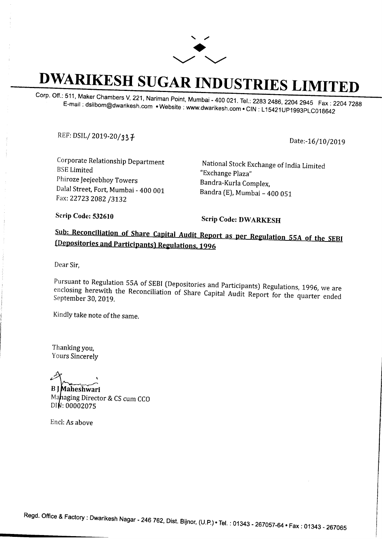

## **DWARIKESH SUGAR INDUSTRIES LIMITED**

Corp. Off.: 511, Maker Chambers V, 221, Nariman Point, Mumbai - 400 021. Tel.: 2283 2486, 2204 2945 Fax: 2204 7288 E-mail : dsilbom@dwarikesh.com • Website : www.dwarikesh.com • CIN : L15421UP1993PLC018642

REF: DSIL/ 2019-20 / *3* 3 f

Date:-16/10/2019

Corporate Relationship Department BSE Limited Phiroze Jeejeebhoy Towers Dalal Street, Fort, Mumbai - 400 001 Fax: 22723 2082 /3132

National Stock Exchange of India Limited "Exchange Plaza" Bandra-Kurla Complex, Bandra (E), Mumbai - 400 OSl

Scrip Code: 532610 Scrip Code: DWARKESH

## Sub: Reconciliation of Share Capital Audit Report as per Regulation 55A of the SEBI (Depositories and Participants) Regulations, 1996

Dear Sir,

Pursuant to Regulation SSA of SEBI (Depositories and Participants) Regulations, 1996, we are enclosing herewith the Reconciliation of Share Capital Audit Report for the quarter ended September 30, 2019.

Kindly take note of the same.

Thanking you, Yours Sincerely

,-~ aheshwari

Mahaging Director & CS cum CCO DIN: 00002075

Encl: *As* above

Regd. Office & Factory: Dwarikesh Nagar- 246 762, Dist. Bijnor, (U.P.) •Tel.: 01343 - 267057-64 •Fax: 01343 - 267065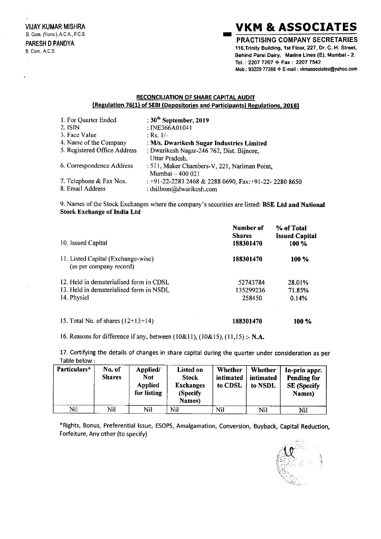## **VKM & ASSOCIATES**

**PRACTISING COMPANY SECRETARIES** 116, Trinity Building, 1st Floor, 227, Dr. C. H. Street, Behind Parsi Dairy, Marine Lines (E), Mumbai - 2. Tel.: 2207 7267 ♦ Fax: 2207 7542 Mob.: 93229 77388 ♦ E-mail : vkmassociates@yahoo.com

## **RECONCILIATION OF SHARE CAPITAL AUDIT** {Regulation 76(1) of SEBI (Depositories and Participants) Regulations, 2018}

| 1. For Quarter Ended         | : $30^{\text{th}}$ September, 2019                    |
|------------------------------|-------------------------------------------------------|
| 2. ISIN                      | : INE366A01041                                        |
| 3. Face Value                | : Rs. 1/-                                             |
| 4. Name of the Company       | : M/s. Dwarikesh Sugar Industries Limited             |
| 5. Registered Office Address | : Dwarikesh Nagar-246 762, Dist. Bijnore,             |
|                              | Uttar Pradesh.                                        |
| 6. Correspondence Address    | : 511, Maker Chambers-V, 221, Nariman Point,          |
|                              | Mumbai - 400 021                                      |
| 7. Telephone & Fax Nos.      | : +91-22-2283 2468 & 2288 0690, Fax: +91-22-2280 8650 |
| 8. Email Address             | : dsilbom@dwarikesh.com                               |

9. Names of the Stock Exchanges where the company's securities are listed: BSE Ltd and National **Stock Exchange of India Ltd** 

| 10. Issued Capital                                                                                  | Number of<br><b>Shares</b><br>188301470 | % of Total<br><b>Issued Capital</b><br>100 % |
|-----------------------------------------------------------------------------------------------------|-----------------------------------------|----------------------------------------------|
| 11. Listed Capital (Exchange-wise)<br>(as per company record)                                       | 188301470                               | 100 %                                        |
| 12. Held in dematerialised form in CDSL.<br>13. Held in dematerialised form in NSDL.<br>14. Physicl | 52743784<br>135299236<br>258450         | 28.01%<br>71.85%<br>0.14%                    |
| 15. Total No. of shares $(12+13+14)$                                                                | 188301470                               | 100 %                                        |

16. Reasons for difference if any, between (10&11), (10&15), (11,15) :- N.A.

17. Certifying the details of changes in share capital during the quarter under consideration as per Table below:

| Particulars* | No. of<br><b>Shares</b> | Applied/<br><b>Not</b><br><b>Applied</b><br>for listing | Listed on<br><b>Stock</b><br><b>Exchanges</b><br>(Specify)<br>Names) | Whether<br>intimated<br>to CDSL | Whether<br>intimated<br>to NSDL | In-prin appr.<br><b>Pending for</b><br><b>SE</b> (Specify<br>Names) |
|--------------|-------------------------|---------------------------------------------------------|----------------------------------------------------------------------|---------------------------------|---------------------------------|---------------------------------------------------------------------|
| Nil          | Nil                     | Nil                                                     | Nil                                                                  | Nil                             | Nil                             | Nil                                                                 |

\*Rights, Bonus, Preferential Issue, ESOPS, Amalgamation, Conversion, Buyback, Capital Reduction, Forfeiture, Any other (to specify)

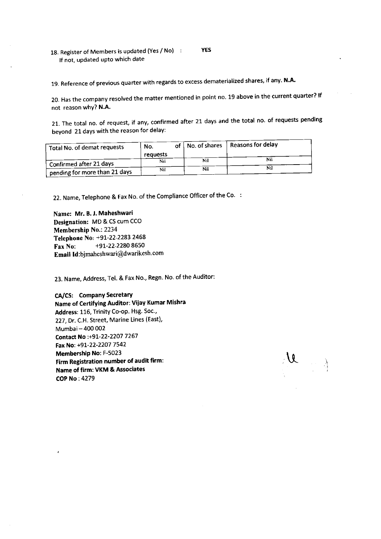18. Register of Members is updated (Yes / No) If not, updated upto which date YES

19. Reference of previous quarter with regards to excess dematerialized shares, if any. N.A.

20. Has the company resolved the matter mentioned in point no. 19 above in the current quarter? If not reason why? N.A.

21. The total no. of request, if any, confirmed after 21 days and the total no. of requests pending beyond 21 days with the reason for delaY:

| Total No. of demat requests   | No.<br>requests |  |     | of   No. of shares   Reasons for delay |  |
|-------------------------------|-----------------|--|-----|----------------------------------------|--|
|                               | Nil             |  | Nil | Nil                                    |  |
| Confirmed after 21 days       | Nil             |  | Nil | Nil                                    |  |
| pending for more than 21 days |                 |  |     |                                        |  |

22. Name, Telephone & Fax No. of the Compliance Officer of the Co

Name: Mr. B. J. Maheshwari Designation: MD & CS cum Cco Membership No.: 2234 Telephone No, +91-22-2283 2468 Fax No:  $+91-22-22808650$ Email ld:bjmaheshwari@dwarikesh.com

23. Name, Address, Tel. & Fax No., Regn. No. of the Auditor:

CA/CS: Company Secretary Name of Certifying Auditor: Vijay Kumar Mishra Address: 116, Trinity Co-op. Hsg. Soc., 227, Dr. C.H. Street, Marine Lines (East), Mumbai- 400 002 Contact No :+91-22-2207 7267 Fax No: +91-22-2207 7542 Membership No: F-5023 Firm Registration number of audit firm: Name of firm: VKM & Associates COP No : 4279

U. I